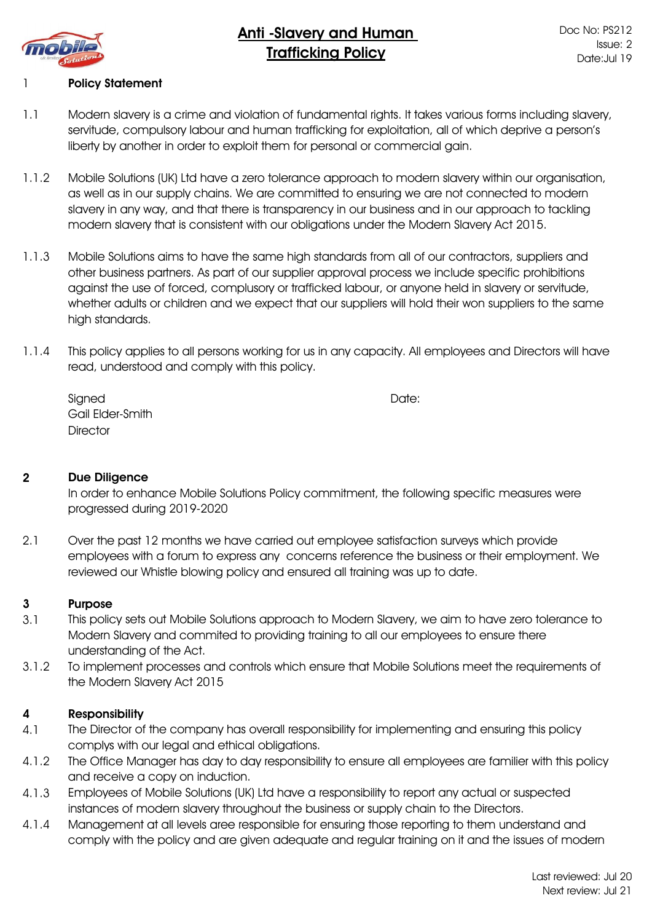

# **Policy Statement**

- 1.1 Modern slavery is a crime and violation of fundamental rights. It takes various forms including slavery, servitude, compulsory labour and human trafficking for exploitation, all of which deprive a person's liberty by another in order to exploit them for personal or commercial gain.
- 1.1.2 Mobile Solutions (UK) Ltd have a zero tolerance approach to modern slavery within our organisation, as well as in our supply chains. We are committed to ensuring we are not connected to modern slavery in any way, and that there is transparency in our business and in our approach to tackling modern slavery that is consistent with our obligations under the Modern Slavery Act 2015.
- 1.1.3 Mobile Solutions aims to have the same high standards from all of our contractors, suppliers and other business partners. As part of our supplier approval process we include specific prohibitions against the use of forced, complusory or trafficked labour, or anyone held in slavery or servitude, whether adults or children and we expect that our suppliers will hold their won suppliers to the same high standards.
- 1.1.4 This policy applies to all persons working for us in any capacity. All employees and Directors will have read, understood and comply with this policy.

| Signed           | Date: |
|------------------|-------|
| Gail Elder-Smith |       |
| <b>Director</b>  |       |

#### 2 Due Diligence

In order to enhance Mobile Solutions Policy commitment, the following specific measures were progressed during 2019-2020

2.1 Over the past 12 months we have carried out employee satisfaction surveys which provide employees with a forum to express any concerns reference the business or their employment. We reviewed our Whistle blowing policy and ensured all training was up to date.

### 3 Purpose

- 3.1 This policy sets out Mobile Solutions approach to Modern Slavery, we aim to have zero tolerance to Modern Slavery and commited to providing training to all our employees to ensure there understanding of the Act.
- 3.1.2 To implement processes and controls which ensure that Mobile Solutions meet the requirements of the Modern Slavery Act 2015

#### 4 Responsibility

- 4.1 The Director of the company has overall responsibility for implementing and ensuring this policy complys with our legal and ethical obligations.
- 4.1.2 The Office Manager has day to day responsibility to ensure all employees are familier with this policy and receive a copy on induction.
- 4.1.3 Employees of Mobile Solutions (UK) Ltd have a responsibility to report any actual or suspected instances of modern slavery throughout the business or supply chain to the Directors.
- 4.1.4 Management at all levels aree responsible for ensuring those reporting to them understand and comply with the policy and are given adequate and regular training on it and the issues of modern